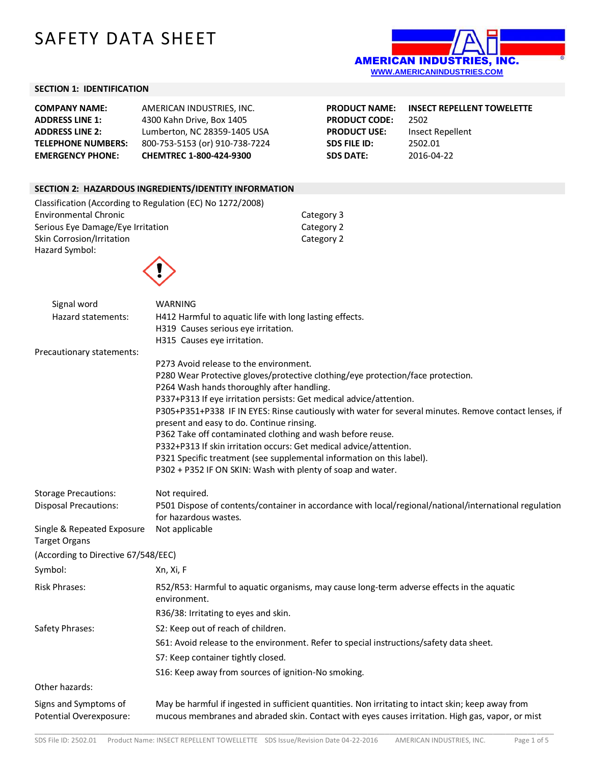# SAFETY DATA SHEET



#### **SECTION 1: IDENTIFICATION**

| <b>COMPANY NAME:</b>      | AMERICAN INDUSTRIES, INC.      |
|---------------------------|--------------------------------|
| <b>ADDRESS LINE 1:</b>    | 4300 Kahn Drive, Box 1405      |
| <b>ADDRESS LINE 2:</b>    | Lumberton, NC 28359-1405 USA   |
| <b>TELEPHONE NUMBERS:</b> | 800-753-5153 (or) 910-738-7224 |
| <b>EMERGENCY PHONE:</b>   | CHEMTREC 1-800-424-9300        |

**PRODUCT NAME: INSECT REPELLENT TOWELETTE PRODUCT CODE:** 2502 **PRODUCT USE:** Insect Repellent **SDS FILE ID:** 2502.01 **SDS DATE:** 2016-04-22

# **SECTION 2: HAZARDOUS INGREDIENTS/IDENTITY INFORMATION**

| Classification (According to Regulation (EC) No 1272/2008) |            |
|------------------------------------------------------------|------------|
| <b>Environmental Chronic</b>                               | Category 3 |
| Serious Eye Damage/Eye Irritation                          | Category 2 |
| Skin Corrosion/Irritation                                  | Category 2 |
| Hazard Symbol:                                             |            |



| Signal word                                      | <b>WARNING</b>                                                                                                                                                                                         |
|--------------------------------------------------|--------------------------------------------------------------------------------------------------------------------------------------------------------------------------------------------------------|
| Hazard statements:                               | H412 Harmful to aquatic life with long lasting effects.                                                                                                                                                |
|                                                  | H319 Causes serious eye irritation.                                                                                                                                                                    |
|                                                  | H315 Causes eye irritation.                                                                                                                                                                            |
| Precautionary statements:                        |                                                                                                                                                                                                        |
|                                                  | P273 Avoid release to the environment.                                                                                                                                                                 |
|                                                  | P280 Wear Protective gloves/protective clothing/eye protection/face protection.                                                                                                                        |
|                                                  | P264 Wash hands thoroughly after handling.                                                                                                                                                             |
|                                                  | P337+P313 If eye irritation persists: Get medical advice/attention.                                                                                                                                    |
|                                                  | P305+P351+P338 IF IN EYES: Rinse cautiously with water for several minutes. Remove contact lenses, if<br>present and easy to do. Continue rinsing.                                                     |
|                                                  | P362 Take off contaminated clothing and wash before reuse.                                                                                                                                             |
|                                                  | P332+P313 If skin irritation occurs: Get medical advice/attention.                                                                                                                                     |
|                                                  | P321 Specific treatment (see supplemental information on this label).                                                                                                                                  |
|                                                  | P302 + P352 IF ON SKIN: Wash with plenty of soap and water.                                                                                                                                            |
| <b>Storage Precautions:</b>                      | Not required.                                                                                                                                                                                          |
| <b>Disposal Precautions:</b>                     | P501 Dispose of contents/container in accordance with local/regional/national/international regulation                                                                                                 |
|                                                  | for hazardous wastes.                                                                                                                                                                                  |
| Single & Repeated Exposure<br>Target Organs      | Not applicable                                                                                                                                                                                         |
| (According to Directive 67/548/EEC)              |                                                                                                                                                                                                        |
| Symbol:                                          | Xn, Xi, F                                                                                                                                                                                              |
| <b>Risk Phrases:</b>                             | R52/R53: Harmful to aquatic organisms, may cause long-term adverse effects in the aquatic<br>environment.                                                                                              |
|                                                  | R36/38: Irritating to eyes and skin.                                                                                                                                                                   |
| Safety Phrases:                                  | S2: Keep out of reach of children.                                                                                                                                                                     |
|                                                  | S61: Avoid release to the environment. Refer to special instructions/safety data sheet.                                                                                                                |
|                                                  | S7: Keep container tightly closed.                                                                                                                                                                     |
|                                                  | S16: Keep away from sources of ignition-No smoking.                                                                                                                                                    |
| Other hazards:                                   |                                                                                                                                                                                                        |
| Signs and Symptoms of<br>Potential Overexposure: | May be harmful if ingested in sufficient quantities. Non irritating to intact skin; keep away from<br>mucous membranes and abraded skin. Contact with eyes causes irritation. High gas, vapor, or mist |

\_\_\_\_\_\_\_\_\_\_\_\_\_\_\_\_\_\_\_\_\_\_\_\_\_\_\_\_\_\_\_\_\_\_\_\_\_\_\_\_\_\_\_\_\_\_\_\_\_\_\_\_\_\_\_\_\_\_\_\_\_\_\_\_\_\_\_\_\_\_\_\_\_\_\_\_\_\_\_\_\_\_\_\_\_\_\_\_\_\_\_\_\_\_\_\_\_\_\_\_\_\_\_\_\_\_\_\_\_\_\_\_\_\_\_\_\_\_\_\_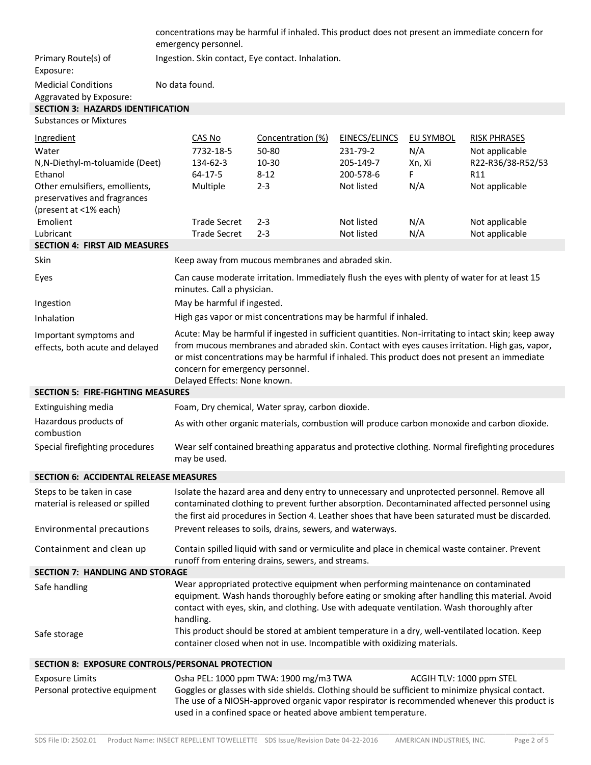|                                                  | concentrations may be harmful if inhaled. This product does not present an immediate concern for<br>emergency personnel. |                                                                                                                              |                      |                  |                                                                                                      |
|--------------------------------------------------|--------------------------------------------------------------------------------------------------------------------------|------------------------------------------------------------------------------------------------------------------------------|----------------------|------------------|------------------------------------------------------------------------------------------------------|
| Primary Route(s) of<br>Exposure:                 | Ingestion. Skin contact, Eye contact. Inhalation.                                                                        |                                                                                                                              |                      |                  |                                                                                                      |
| <b>Medicial Conditions</b>                       | No data found.                                                                                                           |                                                                                                                              |                      |                  |                                                                                                      |
| Aggravated by Exposure:                          |                                                                                                                          |                                                                                                                              |                      |                  |                                                                                                      |
| <b>SECTION 3: HAZARDS IDENTIFICATION</b>         |                                                                                                                          |                                                                                                                              |                      |                  |                                                                                                      |
| <b>Substances or Mixtures</b>                    |                                                                                                                          |                                                                                                                              |                      |                  |                                                                                                      |
| Ingredient                                       | CAS No                                                                                                                   | Concentration (%)                                                                                                            | <b>EINECS/ELINCS</b> | <b>EU SYMBOL</b> | <b>RISK PHRASES</b>                                                                                  |
| Water                                            | 7732-18-5                                                                                                                | 50-80                                                                                                                        | 231-79-2             | N/A              | Not applicable                                                                                       |
| N, N-Diethyl-m-toluamide (Deet)                  | 134-62-3                                                                                                                 | 10-30                                                                                                                        | 205-149-7            | Xn, Xi           | R22-R36/38-R52/53                                                                                    |
| Ethanol                                          | $64 - 17 - 5$                                                                                                            | $8 - 12$                                                                                                                     | 200-578-6            | F                | R11                                                                                                  |
| Other emulsifiers, emollients,                   | Multiple                                                                                                                 | $2 - 3$                                                                                                                      | Not listed           | N/A              | Not applicable                                                                                       |
| preservatives and fragrances                     |                                                                                                                          |                                                                                                                              |                      |                  |                                                                                                      |
| (present at <1% each)<br>Emolient                | <b>Trade Secret</b>                                                                                                      | $2 - 3$                                                                                                                      | Not listed           | N/A              |                                                                                                      |
| Lubricant                                        | <b>Trade Secret</b>                                                                                                      | $2 - 3$                                                                                                                      | Not listed           | N/A              | Not applicable<br>Not applicable                                                                     |
| <b>SECTION 4: FIRST AID MEASURES</b>             |                                                                                                                          |                                                                                                                              |                      |                  |                                                                                                      |
| Skin                                             |                                                                                                                          | Keep away from mucous membranes and abraded skin.                                                                            |                      |                  |                                                                                                      |
|                                                  |                                                                                                                          |                                                                                                                              |                      |                  |                                                                                                      |
| Eyes                                             |                                                                                                                          | Can cause moderate irritation. Immediately flush the eyes with plenty of water for at least 15<br>minutes. Call a physician. |                      |                  |                                                                                                      |
| Ingestion                                        | May be harmful if ingested.                                                                                              |                                                                                                                              |                      |                  |                                                                                                      |
| Inhalation                                       |                                                                                                                          | High gas vapor or mist concentrations may be harmful if inhaled.                                                             |                      |                  |                                                                                                      |
| Important symptoms and                           |                                                                                                                          |                                                                                                                              |                      |                  | Acute: May be harmful if ingested in sufficient quantities. Non-irritating to intact skin; keep away |
| effects, both acute and delayed                  |                                                                                                                          |                                                                                                                              |                      |                  | from mucous membranes and abraded skin. Contact with eyes causes irritation. High gas, vapor,        |
|                                                  |                                                                                                                          | or mist concentrations may be harmful if inhaled. This product does not present an immediate                                 |                      |                  |                                                                                                      |
|                                                  | concern for emergency personnel.                                                                                         |                                                                                                                              |                      |                  |                                                                                                      |
| <b>SECTION 5: FIRE-FIGHTING MEASURES</b>         | Delayed Effects: None known.                                                                                             |                                                                                                                              |                      |                  |                                                                                                      |
| Extinguishing media                              |                                                                                                                          |                                                                                                                              |                      |                  |                                                                                                      |
| Hazardous products of                            |                                                                                                                          | Foam, Dry chemical, Water spray, carbon dioxide.                                                                             |                      |                  |                                                                                                      |
| combustion                                       |                                                                                                                          | As with other organic materials, combustion will produce carbon monoxide and carbon dioxide.                                 |                      |                  |                                                                                                      |
| Special firefighting procedures                  |                                                                                                                          | Wear self contained breathing apparatus and protective clothing. Normal firefighting procedures                              |                      |                  |                                                                                                      |
|                                                  | may be used.                                                                                                             |                                                                                                                              |                      |                  |                                                                                                      |
| <b>SECTION 6: ACCIDENTAL RELEASE MEASURES</b>    |                                                                                                                          |                                                                                                                              |                      |                  |                                                                                                      |
| Steps to be taken in case                        |                                                                                                                          |                                                                                                                              |                      |                  | Isolate the hazard area and deny entry to unnecessary and unprotected personnel. Remove all          |
| material is released or spilled                  |                                                                                                                          |                                                                                                                              |                      |                  | contaminated clothing to prevent further absorption. Decontaminated affected personnel using         |
|                                                  |                                                                                                                          |                                                                                                                              |                      |                  | the first aid procedures in Section 4. Leather shoes that have been saturated must be discarded.     |
| <b>Environmental precautions</b>                 |                                                                                                                          | Prevent releases to soils, drains, sewers, and waterways.                                                                    |                      |                  |                                                                                                      |
| Containment and clean up                         |                                                                                                                          | Contain spilled liquid with sand or vermiculite and place in chemical waste container. Prevent                               |                      |                  |                                                                                                      |
|                                                  |                                                                                                                          | runoff from entering drains, sewers, and streams.                                                                            |                      |                  |                                                                                                      |
| <b>SECTION 7: HANDLING AND STORAGE</b>           |                                                                                                                          |                                                                                                                              |                      |                  |                                                                                                      |
| Safe handling                                    |                                                                                                                          | Wear appropriated protective equipment when performing maintenance on contaminated                                           |                      |                  | equipment. Wash hands thoroughly before eating or smoking after handling this material. Avoid        |
|                                                  |                                                                                                                          | contact with eyes, skin, and clothing. Use with adequate ventilation. Wash thoroughly after                                  |                      |                  |                                                                                                      |
|                                                  | handling.                                                                                                                |                                                                                                                              |                      |                  |                                                                                                      |
| Safe storage                                     |                                                                                                                          | This product should be stored at ambient temperature in a dry, well-ventilated location. Keep                                |                      |                  |                                                                                                      |
|                                                  |                                                                                                                          | container closed when not in use. Incompatible with oxidizing materials.                                                     |                      |                  |                                                                                                      |
| SECTION 8: EXPOSURE CONTROLS/PERSONAL PROTECTION |                                                                                                                          |                                                                                                                              |                      |                  |                                                                                                      |
| <b>Exposure Limits</b>                           |                                                                                                                          | Osha PEL: 1000 ppm TWA: 1900 mg/m3 TWA                                                                                       |                      |                  | ACGIH TLV: 1000 ppm STEL                                                                             |
| Personal protective equipment                    |                                                                                                                          | Goggles or glasses with side shields. Clothing should be sufficient to minimize physical contact.                            |                      |                  |                                                                                                      |
|                                                  |                                                                                                                          |                                                                                                                              |                      |                  | The use of a NIOSH-approved organic vapor respirator is recommended whenever this product is         |
|                                                  |                                                                                                                          | used in a confined space or heated above ambient temperature.                                                                |                      |                  |                                                                                                      |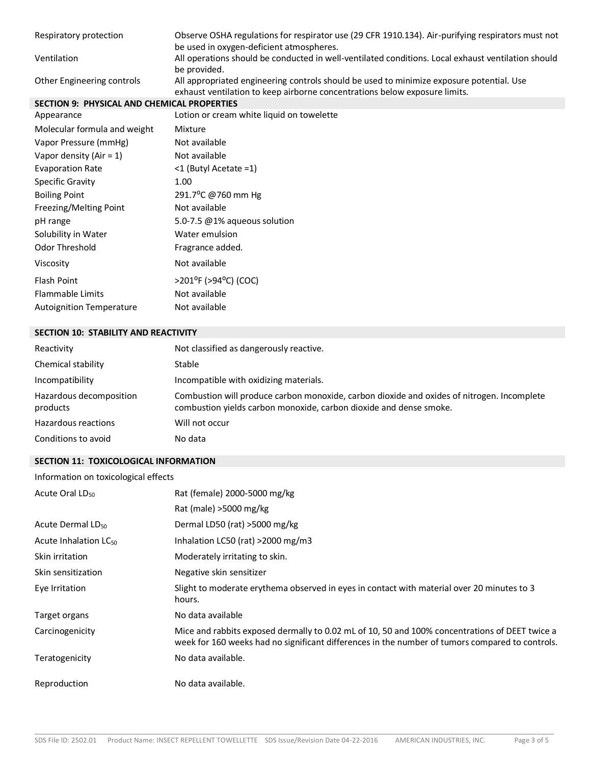| Respiratory protection                       | Observe OSHA regulations for respirator use (29 CFR 1910.134). Air-purifying respirators must not<br>be used in oxygen-deficient atmospheres.                          |
|----------------------------------------------|------------------------------------------------------------------------------------------------------------------------------------------------------------------------|
| Ventilation                                  | All operations should be conducted in well-ventilated conditions. Local exhaust ventilation should<br>be provided.                                                     |
| Other Engineering controls                   | All appropriated engineering controls should be used to minimize exposure potential. Use<br>exhaust ventilation to keep airborne concentrations below exposure limits. |
| CECTION O. DUVCICAL AND CUERNICAL DRODEDTIES |                                                                                                                                                                        |

#### **SECTION 9: PHYSICAL AND CHEMICAL PROPERTIES**

| Appearance                      | Lotion or cream white liquid on towelette             |
|---------------------------------|-------------------------------------------------------|
| Molecular formula and weight    | Mixture                                               |
| Vapor Pressure (mmHg)           | Not available                                         |
| Vapor density $(Air = 1)$       | Not available                                         |
| <b>Evaporation Rate</b>         | <1 (Butyl Acetate =1)                                 |
| <b>Specific Gravity</b>         | 1.00                                                  |
| <b>Boiling Point</b>            | 291.7°C @760 mm Hg                                    |
| Freezing/Melting Point          | Not available                                         |
| pH range                        | 5.0-7.5 $@1\%$ aqueous solution                       |
| Solubility in Water             | Water emulsion                                        |
| <b>Odor Threshold</b>           | Fragrance added.                                      |
| Viscosity                       | Not available                                         |
| Flash Point                     | $>$ 201 <sup>o</sup> F ( $>$ 94 <sup>o</sup> C) (COC) |
| <b>Flammable Limits</b>         | Not available                                         |
| <b>Autoignition Temperature</b> | Not available                                         |

# **SECTION 10: STABILITY AND REACTIVITY**

| Reactivity                          | Not classified as dangerously reactive.                                                                                                                          |
|-------------------------------------|------------------------------------------------------------------------------------------------------------------------------------------------------------------|
| Chemical stability                  | <b>Stable</b>                                                                                                                                                    |
| Incompatibility                     | Incompatible with oxidizing materials.                                                                                                                           |
| Hazardous decomposition<br>products | Combustion will produce carbon monoxide, carbon dioxide and oxides of nitrogen. Incomplete<br>combustion yields carbon monoxide, carbon dioxide and dense smoke. |
| Hazardous reactions                 | Will not occur                                                                                                                                                   |
| Conditions to avoid                 | No data                                                                                                                                                          |

# **SECTION 11: TOXICOLOGICAL INFORMATION**

# Information on toxicological effects

| Acute Oral $LD_{50}$              | Rat (female) 2000-5000 mg/kg                                                                                                                                                                      |
|-----------------------------------|---------------------------------------------------------------------------------------------------------------------------------------------------------------------------------------------------|
|                                   | Rat (male) >5000 mg/kg                                                                                                                                                                            |
| Acute Dermal LD <sub>50</sub>     | Dermal LD50 (rat) >5000 mg/kg                                                                                                                                                                     |
| Acute Inhalation LC <sub>50</sub> | Inhalation LC50 (rat) > 2000 mg/m3                                                                                                                                                                |
| Skin irritation                   | Moderately irritating to skin.                                                                                                                                                                    |
| Skin sensitization                | Negative skin sensitizer                                                                                                                                                                          |
| Eye Irritation                    | Slight to moderate erythema observed in eyes in contact with material over 20 minutes to 3<br>hours.                                                                                              |
| Target organs                     | No data available                                                                                                                                                                                 |
| Carcinogenicity                   | Mice and rabbits exposed dermally to 0.02 mL of 10, 50 and 100% concentrations of DEET twice a<br>week for 160 weeks had no significant differences in the number of tumors compared to controls. |
| Teratogenicity                    | No data available.                                                                                                                                                                                |
| Reproduction                      | No data available.                                                                                                                                                                                |

\_\_\_\_\_\_\_\_\_\_\_\_\_\_\_\_\_\_\_\_\_\_\_\_\_\_\_\_\_\_\_\_\_\_\_\_\_\_\_\_\_\_\_\_\_\_\_\_\_\_\_\_\_\_\_\_\_\_\_\_\_\_\_\_\_\_\_\_\_\_\_\_\_\_\_\_\_\_\_\_\_\_\_\_\_\_\_\_\_\_\_\_\_\_\_\_\_\_\_\_\_\_\_\_\_\_\_\_\_\_\_\_\_\_\_\_\_\_\_\_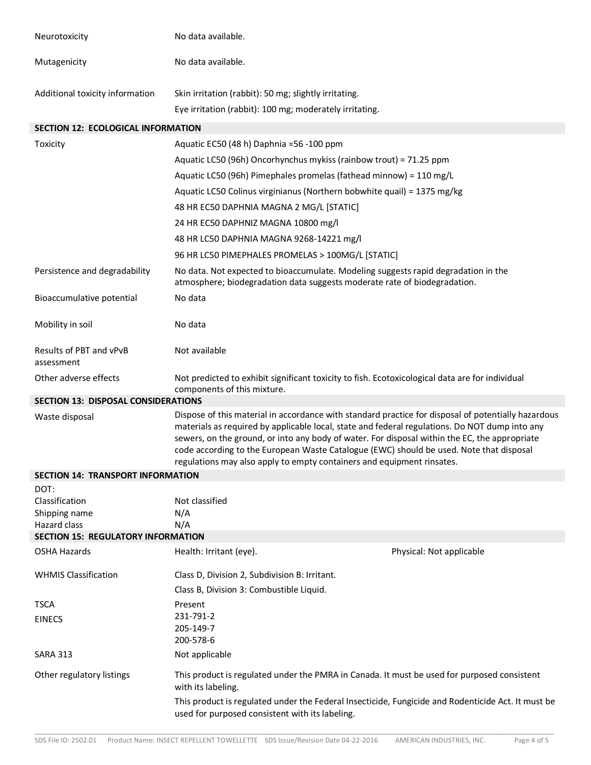| Neurotoxicity                              | No data available.                                                                                                                                                                                                                                                                                                                                                                                                                                                          |                          |
|--------------------------------------------|-----------------------------------------------------------------------------------------------------------------------------------------------------------------------------------------------------------------------------------------------------------------------------------------------------------------------------------------------------------------------------------------------------------------------------------------------------------------------------|--------------------------|
| Mutagenicity                               | No data available.                                                                                                                                                                                                                                                                                                                                                                                                                                                          |                          |
| Additional toxicity information            | Skin irritation (rabbit): 50 mg; slightly irritating.                                                                                                                                                                                                                                                                                                                                                                                                                       |                          |
|                                            | Eye irritation (rabbit): 100 mg; moderately irritating.                                                                                                                                                                                                                                                                                                                                                                                                                     |                          |
| <b>SECTION 12: ECOLOGICAL INFORMATION</b>  |                                                                                                                                                                                                                                                                                                                                                                                                                                                                             |                          |
| Toxicity                                   | Aquatic EC50 (48 h) Daphnia =56 -100 ppm                                                                                                                                                                                                                                                                                                                                                                                                                                    |                          |
|                                            | Aquatic LC50 (96h) Oncorhynchus mykiss (rainbow trout) = 71.25 ppm                                                                                                                                                                                                                                                                                                                                                                                                          |                          |
|                                            | Aquatic LC50 (96h) Pimephales promelas (fathead minnow) = 110 mg/L                                                                                                                                                                                                                                                                                                                                                                                                          |                          |
|                                            | Aquatic LC50 Colinus virginianus (Northern bobwhite quail) = 1375 mg/kg                                                                                                                                                                                                                                                                                                                                                                                                     |                          |
|                                            | 48 HR EC50 DAPHNIA MAGNA 2 MG/L [STATIC]                                                                                                                                                                                                                                                                                                                                                                                                                                    |                          |
|                                            | 24 HR EC50 DAPHNIZ MAGNA 10800 mg/l                                                                                                                                                                                                                                                                                                                                                                                                                                         |                          |
|                                            | 48 HR LC50 DAPHNIA MAGNA 9268-14221 mg/l                                                                                                                                                                                                                                                                                                                                                                                                                                    |                          |
|                                            | 96 HR LC50 PIMEPHALES PROMELAS > 100MG/L [STATIC]                                                                                                                                                                                                                                                                                                                                                                                                                           |                          |
| Persistence and degradability              | No data. Not expected to bioaccumulate. Modeling suggests rapid degradation in the<br>atmosphere; biodegradation data suggests moderate rate of biodegradation.                                                                                                                                                                                                                                                                                                             |                          |
| Bioaccumulative potential                  | No data                                                                                                                                                                                                                                                                                                                                                                                                                                                                     |                          |
| Mobility in soil                           | No data                                                                                                                                                                                                                                                                                                                                                                                                                                                                     |                          |
| Results of PBT and vPvB<br>assessment      | Not available                                                                                                                                                                                                                                                                                                                                                                                                                                                               |                          |
| Other adverse effects                      | Not predicted to exhibit significant toxicity to fish. Ecotoxicological data are for individual<br>components of this mixture.                                                                                                                                                                                                                                                                                                                                              |                          |
| <b>SECTION 13: DISPOSAL CONSIDERATIONS</b> |                                                                                                                                                                                                                                                                                                                                                                                                                                                                             |                          |
| Waste disposal                             | Dispose of this material in accordance with standard practice for disposal of potentially hazardous<br>materials as required by applicable local, state and federal regulations. Do NOT dump into any<br>sewers, on the ground, or into any body of water. For disposal within the EC, the appropriate<br>code according to the European Waste Catalogue (EWC) should be used. Note that disposal<br>regulations may also apply to empty containers and equipment rinsates. |                          |
| <b>SECTION 14: TRANSPORT INFORMATION</b>   |                                                                                                                                                                                                                                                                                                                                                                                                                                                                             |                          |
| DOT:                                       |                                                                                                                                                                                                                                                                                                                                                                                                                                                                             |                          |
| Classification<br>Shipping name            | Not classified<br>N/A                                                                                                                                                                                                                                                                                                                                                                                                                                                       |                          |
| Hazard class                               | N/A                                                                                                                                                                                                                                                                                                                                                                                                                                                                         |                          |
| <b>SECTION 15: REGULATORY INFORMATION</b>  |                                                                                                                                                                                                                                                                                                                                                                                                                                                                             |                          |
| <b>OSHA Hazards</b>                        | Health: Irritant (eye).                                                                                                                                                                                                                                                                                                                                                                                                                                                     | Physical: Not applicable |
| <b>WHMIS Classification</b>                | Class D, Division 2, Subdivision B: Irritant.<br>Class B, Division 3: Combustible Liquid.                                                                                                                                                                                                                                                                                                                                                                                   |                          |
| <b>TSCA</b>                                | Present                                                                                                                                                                                                                                                                                                                                                                                                                                                                     |                          |
| <b>EINECS</b>                              | 231-791-2<br>205-149-7                                                                                                                                                                                                                                                                                                                                                                                                                                                      |                          |
|                                            | 200-578-6                                                                                                                                                                                                                                                                                                                                                                                                                                                                   |                          |
| <b>SARA 313</b>                            | Not applicable                                                                                                                                                                                                                                                                                                                                                                                                                                                              |                          |
| Other regulatory listings                  | This product is regulated under the PMRA in Canada. It must be used for purposed consistent<br>with its labeling.                                                                                                                                                                                                                                                                                                                                                           |                          |
|                                            | This product is regulated under the Federal Insecticide, Fungicide and Rodenticide Act. It must be<br>used for purposed consistent with its labeling.                                                                                                                                                                                                                                                                                                                       |                          |